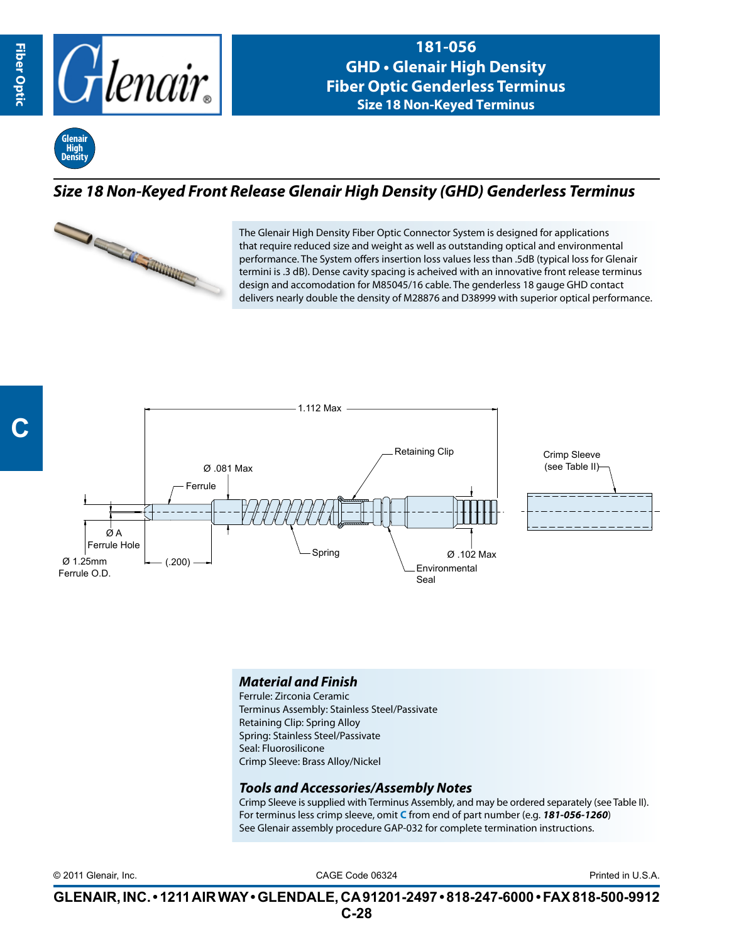

**181-056 GHD • Glenair High Density Fiber Optic Genderless Terminus Size 18 Non-Keyed Terminus**



## *Size 18 Non-Keyed Front Release Glenair High Density (GHD) Genderless Terminus*



The Glenair High Density Fiber Optic Connector System is designed for applications that require reduced size and weight as well as outstanding optical and environmental performance. The System offers insertion loss values less than .5dB (typical loss for Glenair termini is .3 dB). Dense cavity spacing is acheived with an innovative front release terminus design and accomodation for M85045/16 cable. The genderless 18 gauge GHD contact delivers nearly double the density of M28876 and D38999 with superior optical performance.



## *Material and Finish*

Ferrule: Zirconia Ceramic Terminus Assembly: Stainless Steel/Passivate Retaining Clip: Spring Alloy Spring: Stainless Steel/Passivate Seal: Fluorosilicone Crimp Sleeve: Brass Alloy/Nickel

## *Tools and Accessories/Assembly Notes*

Crimp Sleeve is supplied with Terminus Assembly, and may be ordered separately (see Table II). For terminus less crimp sleeve, omit **C** from end of part number (e.g. *181-056-1260*) See Glenair assembly procedure GAP-032 for complete termination instructions.

CAGE Code 06324 © 2011 Glenair, Inc. Printed in U.S.A.